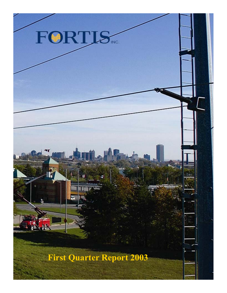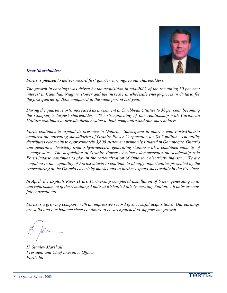

### *Dear Shareholder:*

*Fortis is pleased to deliver record first quarter earnings to our shareholders.*

*The growth in earnings was driven by the acquisition in mid-2002 of the remaining 50 per cent interest in Canadian Niagara Power and the increase in wholesale energy prices in Ontario for the first quarter of 2003 compared to the same period last year.*

*During the quarter, Fortis increased its investment in Caribbean Utilities to 38 per cent, becoming the Company's largest shareholder. The strengthening of our relationship with Caribbean Utilities continues to provide further value to both companies and our shareholders.*

*Fortis continues to expand its presence in Ontario. Subsequent to quarter end, FortisOntario acquired the operating subsidiaries of Granite Power Corporation for \$8.7 million. The utility distributes electricity to approximately 3,800 customers primarily situated in Gananoque, Ontario and generates electricity from 5 hydroelectric generating stations with a combined capacity of 6 megawatts. The acquisition of Granite Power's business demonstrates the leadership role FortisOntario continues to play in the rationalization of Ontario's electricity industry. We are confident in the capability of FortisOntario to continue to identify opportunities presented by the restructuring of the Ontario electricity market and to further expand successfully in the Province.*

*In April, the Exploits River Hydro Partnership completed installation of 6 new generating units and refurbishment of the remaining 3 units at Bishop's Falls Generating Station. All units are now fully operational.*

*Fortis is a growing company with an impressive record of successful acquisitions. Our earnings are solid and our balance sheet continues to be strengthened to support our growth.*

*H. Stanley Marshall President and Chief Executive Officer Fortis Inc.*

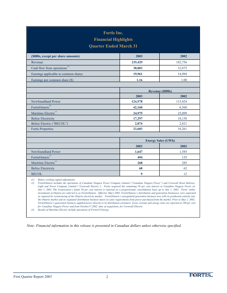| <b>Fortis Inc.</b><br><b>Financial Highlights</b><br><b>Quarter Ended March 31</b>                                                                                                                                                                                                                                                                                                                                                                                                                                                                                                                                                                                                                                                                                                                                                                                                                                                                                                                                                                                                                                                                                                                                                                                                                               |                           |                         |  |
|------------------------------------------------------------------------------------------------------------------------------------------------------------------------------------------------------------------------------------------------------------------------------------------------------------------------------------------------------------------------------------------------------------------------------------------------------------------------------------------------------------------------------------------------------------------------------------------------------------------------------------------------------------------------------------------------------------------------------------------------------------------------------------------------------------------------------------------------------------------------------------------------------------------------------------------------------------------------------------------------------------------------------------------------------------------------------------------------------------------------------------------------------------------------------------------------------------------------------------------------------------------------------------------------------------------|---------------------------|-------------------------|--|
| (\$000s, except per share amounts)                                                                                                                                                                                                                                                                                                                                                                                                                                                                                                                                                                                                                                                                                                                                                                                                                                                                                                                                                                                                                                                                                                                                                                                                                                                                               | 2003                      | 2002                    |  |
| Revenue                                                                                                                                                                                                                                                                                                                                                                                                                                                                                                                                                                                                                                                                                                                                                                                                                                                                                                                                                                                                                                                                                                                                                                                                                                                                                                          | 235,429                   | 182,756                 |  |
| Cash flow from operations <sup>(1)</sup>                                                                                                                                                                                                                                                                                                                                                                                                                                                                                                                                                                                                                                                                                                                                                                                                                                                                                                                                                                                                                                                                                                                                                                                                                                                                         | 38,003                    | 32,875                  |  |
| Earnings applicable to common shares                                                                                                                                                                                                                                                                                                                                                                                                                                                                                                                                                                                                                                                                                                                                                                                                                                                                                                                                                                                                                                                                                                                                                                                                                                                                             | 19,961                    | 14,994                  |  |
| Earnings per common share (\$)                                                                                                                                                                                                                                                                                                                                                                                                                                                                                                                                                                                                                                                                                                                                                                                                                                                                                                                                                                                                                                                                                                                                                                                                                                                                                   | 1.16                      | 1.00                    |  |
|                                                                                                                                                                                                                                                                                                                                                                                                                                                                                                                                                                                                                                                                                                                                                                                                                                                                                                                                                                                                                                                                                                                                                                                                                                                                                                                  |                           |                         |  |
|                                                                                                                                                                                                                                                                                                                                                                                                                                                                                                                                                                                                                                                                                                                                                                                                                                                                                                                                                                                                                                                                                                                                                                                                                                                                                                                  |                           | <b>Revenue (\$000s)</b> |  |
|                                                                                                                                                                                                                                                                                                                                                                                                                                                                                                                                                                                                                                                                                                                                                                                                                                                                                                                                                                                                                                                                                                                                                                                                                                                                                                                  | 2003                      | 2002                    |  |
| Newfoundland Power                                                                                                                                                                                                                                                                                                                                                                                                                                                                                                                                                                                                                                                                                                                                                                                                                                                                                                                                                                                                                                                                                                                                                                                                                                                                                               | 124,578                   | 115,424                 |  |
| FortisOntario <sup>(2)</sup>                                                                                                                                                                                                                                                                                                                                                                                                                                                                                                                                                                                                                                                                                                                                                                                                                                                                                                                                                                                                                                                                                                                                                                                                                                                                                     | 42,160                    | 8,560                   |  |
| Maritime Electric <sup>(3)</sup>                                                                                                                                                                                                                                                                                                                                                                                                                                                                                                                                                                                                                                                                                                                                                                                                                                                                                                                                                                                                                                                                                                                                                                                                                                                                                 | 24,975                    | 25,099                  |  |
| <b>Belize Electricity</b>                                                                                                                                                                                                                                                                                                                                                                                                                                                                                                                                                                                                                                                                                                                                                                                                                                                                                                                                                                                                                                                                                                                                                                                                                                                                                        | 17,297                    | 18,158                  |  |
| Belize Electric ("BECOL")                                                                                                                                                                                                                                                                                                                                                                                                                                                                                                                                                                                                                                                                                                                                                                                                                                                                                                                                                                                                                                                                                                                                                                                                                                                                                        | 2,074                     | 2,821                   |  |
| <b>Fortis Properties</b>                                                                                                                                                                                                                                                                                                                                                                                                                                                                                                                                                                                                                                                                                                                                                                                                                                                                                                                                                                                                                                                                                                                                                                                                                                                                                         | 23,603                    | 18,261                  |  |
|                                                                                                                                                                                                                                                                                                                                                                                                                                                                                                                                                                                                                                                                                                                                                                                                                                                                                                                                                                                                                                                                                                                                                                                                                                                                                                                  |                           |                         |  |
|                                                                                                                                                                                                                                                                                                                                                                                                                                                                                                                                                                                                                                                                                                                                                                                                                                                                                                                                                                                                                                                                                                                                                                                                                                                                                                                  | <b>Energy Sales (GWh)</b> |                         |  |
|                                                                                                                                                                                                                                                                                                                                                                                                                                                                                                                                                                                                                                                                                                                                                                                                                                                                                                                                                                                                                                                                                                                                                                                                                                                                                                                  | 2003                      | 2002                    |  |
| Newfoundland Power                                                                                                                                                                                                                                                                                                                                                                                                                                                                                                                                                                                                                                                                                                                                                                                                                                                                                                                                                                                                                                                                                                                                                                                                                                                                                               | 1,647                     | 1,585                   |  |
| FortisOntario <sup>(2)</sup>                                                                                                                                                                                                                                                                                                                                                                                                                                                                                                                                                                                                                                                                                                                                                                                                                                                                                                                                                                                                                                                                                                                                                                                                                                                                                     | 494                       | 155                     |  |
| Maritime Electric <sup>(3)</sup>                                                                                                                                                                                                                                                                                                                                                                                                                                                                                                                                                                                                                                                                                                                                                                                                                                                                                                                                                                                                                                                                                                                                                                                                                                                                                 | 268                       | 285                     |  |
| <b>Belize Electricity</b>                                                                                                                                                                                                                                                                                                                                                                                                                                                                                                                                                                                                                                                                                                                                                                                                                                                                                                                                                                                                                                                                                                                                                                                                                                                                                        | 68                        | 62                      |  |
| <b>BECOL</b>                                                                                                                                                                                                                                                                                                                                                                                                                                                                                                                                                                                                                                                                                                                                                                                                                                                                                                                                                                                                                                                                                                                                                                                                                                                                                                     | 9                         | 12                      |  |
| (1)<br>Before working capital adjustments.<br>FortisOntario includes the operations of Canadian Niagara Power Company Limited ("Canadian Niagara Power") and Cornwall Street Railway,<br>(2)<br>Light and Power Company Limited ("Cornwall Electric"). Fortis acquired the remaining 50 per cent interest in Canadian Niagara Power on<br>July 1, 2002. The Corporation's initial 50 per cent interest is reported on a proportionate consolidation basis up to July 1, 2002. Fortis' utility<br>investments in Ontario are referred to as FortisOntario. Effective May1,2002, FortisOntario's distribution and generation businesses were separated<br>as required by restructuring of the Ontario electricity market. FortisOntario's unregulated generation business now sells its production entirely into<br>the Ontario market and its regulated distribution business meets its sales requirements from power purchased from the market. Prior to May 1, 2002,<br>FortisOntario's generation business supplied power directly to its distribution customers. Gross revenue and energy sales are reported at 100 per cent<br>for Canadian Niagara Power and from October17,2002, date of acquisition, for Cornwall Electric.<br>Results of Maritime Electric include operations of FortisUS Energy.<br>(3) |                           |                         |  |

*Note: Financial information in this release is presented in Canadian dollars unless otherwise specified.*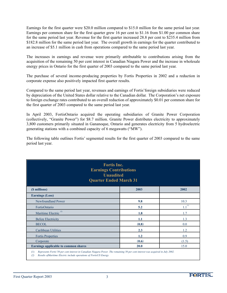Earnings for the first quarter were \$20.0 million compared to \$15.0 million for the same period last year. Earnings per common share for the first quarter grew 16 per cent to \$1.16 from \$1.00 per common share for the same period last year. Revenue for the first quarter increased 28.8 per cent to \$235.4 million from \$182.8 million for the same period last year. The overall growth in earnings for the quarter contributed to an increase of \$5.1 million in cash from operations compared to the same period last year.

The increases in earnings and revenue were primarily attributable to contributions arising from the acquisition of the remaining 50 per cent interest in Canadian Niagara Power and the increase in wholesale energy prices in Ontario for the first quarter of 2003 compared to the same period last year.

The purchase of several income-producing properties by Fortis Properties in 2002 and a reduction in corporate expense also positively impacted first quarter results.

Compared to the same period last year, revenues and earnings of Fortis'foreign subsidiaries were reduced by depreciation of the United States dollar relative to the Canadian dollar. The Corporation's net exposure to foreign exchange rates contributed to an overall reduction of approximately \$0.01 per common share for the first quarter of 2003 compared to the same period last year.

In April 2003, FortisOntario acquired the operating subsidiaries of Granite Power Corporation (collectively, "Granite Power") for \$8.7 million. Granite Power distributes electricity to approximately 3,800 customers primarily situated in Gananoque, Ontario and generates electricity from 5 hydroelectric generating stations with a combined capacity of 6 megawatts ("MW").

The following table outlines Fortis' segmented results for the first quarter of 2003 compared to the same period last year.

| <b>Fortis Inc.</b><br><b>Earnings Contributions</b><br><b>Unaudited</b><br><b>Quarter Ended March 31</b> |       |             |
|----------------------------------------------------------------------------------------------------------|-------|-------------|
| (\$ millions)                                                                                            | 2003  | 2002        |
| <b>Earnings (Loss)</b>                                                                                   |       |             |
| Newfoundland Power                                                                                       | 9.8   | 10.3        |
| FortisOntario                                                                                            | 5.2   | $1.1^{(1)}$ |
| Maritime Electric <sup>(2)</sup>                                                                         | 1.8   | 1.7         |
| <b>Belize Electricity</b>                                                                                | 1.1   | 1.3         |
| <b>BECOL</b>                                                                                             | (0.8) | 0.0         |
| Caribbean Utilities                                                                                      | 2.3   | 1.2         |
| <b>Fortis Properties</b>                                                                                 | 1.2   | 0.9         |
| Corporate                                                                                                | (0.6) | (1.5)       |
| Earnings applicable to common shares                                                                     | 20.0  | 15.0        |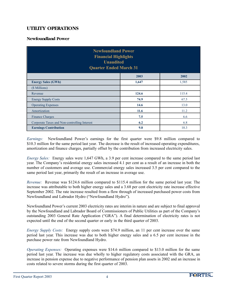# **UTILITY OPERATIONS**

#### **Newfoundland Power**

| <b>Newfoundland Power</b><br><b>Financial Highlights</b><br><b>Unaudited</b><br><b>Quarter Ended March 31</b> |       |       |  |
|---------------------------------------------------------------------------------------------------------------|-------|-------|--|
|                                                                                                               | 2003  | 2002  |  |
| <b>Energy Sales (GWh)</b>                                                                                     | 1,647 | 1,585 |  |
| (\$ Millions)                                                                                                 |       |       |  |
| Revenue                                                                                                       | 124.6 | 115.4 |  |
| <b>Energy Supply Costs</b>                                                                                    | 74.9  | 67.5  |  |
| <b>Operating Expenses</b>                                                                                     | 14.6  | 13.0  |  |
| Amortization                                                                                                  | 11.6  | 11.2  |  |
| <b>Finance Charges</b>                                                                                        | 7.5   | 6.6   |  |
| 6.2<br>6.8<br>Corporate Taxes and Non-controlling Interest                                                    |       |       |  |
| <b>Earnings Contribution</b><br>9.8<br>10.3                                                                   |       |       |  |

*Earnings:* Newfoundland Power's earnings for the first quarter were \$9.8 million compared to \$10.3 million for the same period last year. The decrease is the result of increased operating expenditures, amortization and finance charges, partially offset by the contribution from increased electricity sales.

*Energy Sales:* Energy sales were 1,647 GWh, a 3.9 per cent increase compared to the same period last year. The Company's residential energy sales increased 4.1 per cent as a result of an increase in both the number of customers and average use. Commercial energy sales increased 3.5 per cent compared to the same period last year, primarily the result of an increase in average use.

*Revenue:* Revenue was \$124.6 million compared to \$115.4 million for the same period last year. The increase was attributable to both higher energy sales and a 3.68 per cent electricity rate increase effective September 2002. The rate increase resulted from a flow through of increased purchased power costs from Newfoundland and Labrador Hydro ("Newfoundland Hydro").

Newfoundland Power's current 2003 electricity rates are interim in nature and are subject to final approval by the Newfoundland and Labrador Board of Commissioners of Public Utilities as part of the Company's outstanding 2003 General Rate Application ("GRA"). A final determination of electricity rates is not expected until the end of the second quarter or early in the third quarter of 2003.

*Energy Supply Costs:* Energy supply costs were \$74.9 million, an 11 per cent increase over the same period last year. This increase was due to both higher energy sales and a 6.5 per cent increase in the purchase power rate from Newfoundland Hydro.

*Operating Expenses:* Operating expenses were \$14.6 million compared to \$13.0 million for the same period last year. The increase was due wholly to higher regulatory costs associated with the GRA, an increase in pension expense due to negative performance of pension plan assets in 2002 and an increase in costs related to severe storms during the first quarter of 2003.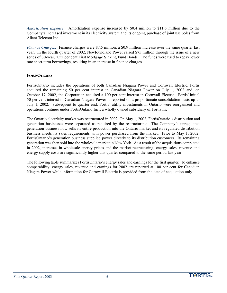*Amortization Expense:* Amortization expense increased by \$0.4 million to \$11.6 million due to the Company's increased investment in its electricity system and its ongoing purchase of joint use poles from Aliant Telecom Inc.

*Finance Charges:* Finance charges were \$7.5 million, a \$0.9 million increase over the same quarter last year. In the fourth quarter of 2002, Newfoundland Power raised \$75 million through the issue of a new series of 30-year, 7.52 per cent First Mortgage Sinking Fund Bonds. The funds were used to repay lower rate short-term borrowings, resulting in an increase in finance charges.

#### **FortisOntario**

FortisOntario includes the operations of both Canadian Niagara Power and Cornwall Electric. Fortis acquired the remaining 50 per cent interest in Canadian Niagara Power on July 1, 2002 and, on October 17, 2002, the Corporation acquired a 100 per cent interest in Cornwall Electric. Fortis' initial 50 per cent interest in Canadian Niagara Power is reported on a proportionate consolidation basis up to July 1, 2002. Subsequent to quarter end, Fortis' utility investments in Ontario were reorganized and operations continue under FortisOntario Inc., a wholly owned subsidiary of Fortis Inc.

The Ontario electricity market was restructured in 2002. On May 1, 2002, FortisOntario's distribution and generation businesses were separated as required by the restructuring. The Company's unregulated generation business now sells its entire production into the Ontario market and its regulated distribution business meets its sales requirements with power purchased from the market. Prior to May 1, 2002, FortisOntario's generation business supplied power directly to its distribution customers. Its remaining generation was then sold into the wholesale market in New York. As a result of the acquisitions completed in 2002, increases in wholesale energy prices and the market restructuring, energy sales, revenue and energy supply costs are significantly higher this quarter compared to the same period last year.

The following table summarizes FortisOntario's energy sales and earnings for the first quarter. To enhance comparability, energy sales, revenue and earnings for 2002 are reported at 100 per cent for Canadian Niagara Power while information for Cornwall Electric is provided from the date of acquisition only.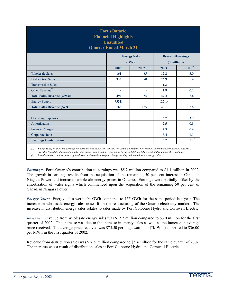| <b>FortisOntario</b><br><b>Financial Highlights</b><br><b>Unaudited</b><br><b>Quarter Ended March 31</b> |                                                |                |        |               |  |
|----------------------------------------------------------------------------------------------------------|------------------------------------------------|----------------|--------|---------------|--|
|                                                                                                          | <b>Energy Sales</b><br><b>Revenue/Earnings</b> |                |        |               |  |
|                                                                                                          |                                                | (GWh)          |        | (\$ millions) |  |
|                                                                                                          | 2003                                           | $2002^{(1)}$   | 2003   | $2002^{(1)}$  |  |
| <b>Wholesale Sales</b>                                                                                   | 161                                            | 85             | 12.2   | 3.0           |  |
| <b>Distribution Sales</b>                                                                                | 333                                            | 70             | 26.9   | 5.4           |  |
| <b>Transmission Sales</b>                                                                                | $\overline{\phantom{a}}$                       | $\overline{a}$ | 1.3    |               |  |
| Other Revenue <sup>(2)</sup>                                                                             | $\overline{\phantom{a}}$                       |                | 1.8    | 0.2           |  |
| <b>Total Sales/Revenue (Gross)</b>                                                                       | 494                                            | 155            | 42.2   | 8.6           |  |
| <b>Energy Supply</b>                                                                                     | (331)                                          | $\sim$         | (22.1) |               |  |
| <b>Total Sales/Revenue (Net)</b>                                                                         | 163                                            | 155            | 20.1   | 8.6           |  |
|                                                                                                          |                                                |                |        |               |  |
| <b>Operating Expenses</b>                                                                                |                                                |                | 6.7    | 3.9           |  |
| Amortization                                                                                             |                                                |                | 2.5    | 0.8           |  |
| <b>Finance Charges</b>                                                                                   |                                                |                | 2.3    | 0.4           |  |
| <b>Corporate Taxes</b>                                                                                   |                                                |                | 3.4    | 1.3           |  |
| <b>Earnings Contribution</b>                                                                             |                                                |                | 5.2    | $2.2^{\circ}$ |  |

*<sup>(1)</sup> Energy sales, revenue and earnings for 2002 are reported at 100 per cent for Canadian Niagara Power while information for Cornwall Electric is provided from date of acquisition only. The earnings contribution reported by Fortis in 2002 was 50 per cent of this amount (\$1.1 million).*

*(2) Includes interest on investments, gains/losses on disposals, foreign exchange, heating and miscellaneous energy sales.* 

*Earnings:* FortisOntario's contribution to earnings was \$5.2 million compared to \$1.1 million in 2002. The growth in earnings results from the acquisition of the remaining 50 per cent interest in Canadian Niagara Power and increased wholesale energy prices in Ontario. Earnings were partially offset by the amortization of water rights which commenced upon the acquisition of the remaining 50 per cent of Canadian Niagara Power.

*Energy Sales:* Energy sales were 494 GWh compared to 155 GWh for the same period last year. The increase in wholesale energy sales arises from the restructuring of the Ontario electricity market. The increase in distribution energy sales relates to sales made by Port Colborne Hydro and Cornwall Electric.

*Revenue:* Revenue from wholesale energy sales was \$12.2 million compared to \$3.0 million for the first quarter of 2002. The increase was due to the increase in energy sales as well as the increase in average price received. The average price received was \$75.50 per megawatt hour ("MWh") compared to \$36.00 per MWh in the first quarter of 2002.

Revenue from distribution sales was \$26.9 million compared to \$5.4 million for the same quarter of 2002. The increase was a result of distribution sales at Port Colborne Hydro and Cornwall Electric.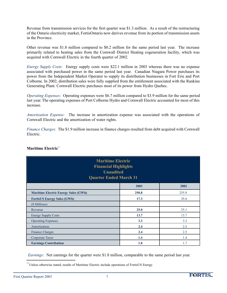Revenue from transmission services for the first quarter was \$1.3 million. As a result of the restructuring of the Ontario electricity market, FortisOntario now derives revenue from its portion of transmission assets in the Province.

Other revenue was \$1.8 million compared to \$0.2 million for the same period last year. The increase primarily related to heating sales from the Cornwall District Heating cogeneration facility, which was acquired with Cornwall Electric in the fourth quarter of 2002.

*Energy Supply Costs:* Energy supply costs were \$22.1 million in 2003 whereas there was no expense associated with purchased power in the same period last year. Canadian Niagara Power purchases its power from the Independent Market Operator to supply its distribution businesses in Fort Erie and Port Colborne. In 2002, distribution sales were fully supplied from the entitlement associated with the Rankine Generating Plant. Cornwall Electric purchases most of its power from Hydro Quebec.

*Operating Expenses:* Operating expenses were \$6.7 million compared to \$3.9 million for the same period last year. The operating expenses of Port Colborne Hydro and Cornwall Electric accounted for most of this increase.

*Amortization Expense:* The increase in amortization expense was associated with the operations of Cornwall Electric and the amortization of water rights.

*Finance Charges:* The \$1.9 million increase in finance charges resulted from debt acquired with Cornwall Electric.

| <b>Maritime Electric</b><br><b>Financial Highlights</b><br><b>Unaudited</b><br><b>Quarter Ended March 31</b> |       |       |  |
|--------------------------------------------------------------------------------------------------------------|-------|-------|--|
|                                                                                                              | 2003  | 2002  |  |
| <b>Maritime Electric Energy Sales (GWh)</b>                                                                  | 250.8 | 255.9 |  |
| <b>FortisUS Energy Sales (GWh)</b>                                                                           | 17.3  | 29.4  |  |
| (\$ Millions)                                                                                                |       |       |  |
| Revenue                                                                                                      | 25.0  | 25.1  |  |
| <b>Energy Supply Costs</b>                                                                                   | 13.7  | 13.7  |  |
| <b>Operating Expenses</b>                                                                                    | 3.3   | 3.3   |  |
| Amortization                                                                                                 | 2.4   | 2.5   |  |
| <b>Finance Charges</b>                                                                                       | 2.4   | 2.5   |  |
| Corporate Taxes                                                                                              | 1.4   | 1.4   |  |
| <b>Earnings Contribution</b>                                                                                 | 1.8   | 1.7   |  |

### **Maritime Electric**<sup>(1)</sup>

*Earnings:* Net earnings for the quarter were \$1.8 million, comparable to the same period last year.

<sup>(1)</sup> Unless otherwise stated, results of Maritime Electric include operations of FortisUS Energy.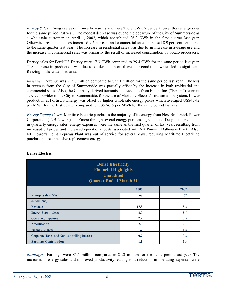*Energy Sales:* Energy sales on Prince Edward Island were 250.8 GWh, 2 per cent lower than energy sales for the same period last year. The modest decrease was due to the departure of the City of Summerside as a wholesale customer on April 1, 2002, which contributed 26.2 GWh in the first quarter last year. Otherwise, residential sales increased 9.5 per cent and commercial sales increased 8.9 per cent compared to the same quarter last year. The increase in residential sales was due to an increase in average use and the increase in commercial sales was primarily the result of increased consumption by potato processors*.*

Energy sales for FortisUS Energy were 17.3 GWh compared to 29.4 GWh for the same period last year. The decrease in production was due to colder-than-normal weather conditions which led to significant freezing in the watershed area.

*Revenue:* Revenue was \$25.0 million compared to \$25.1 million for the same period last year. The loss in revenue from the City of Summerside was partially offset by the increase in both residential and commercial sales. Also, the Company derived transmission revenues from Emera Inc. ("Emera"), current service provider to the City of Summerside, for the use of Maritime Electric's transmission system. Lower production at FortisUS Energy was offset by higher wholesale energy prices which averaged US\$45.42 per MWh for the first quarter compared to US\$24.15 per MWh for the same period last year.

*Energy Supply Costs:* Maritime Electric purchases the majority of its energy from New Brunswick Power Corporation ("NB Power") and Emera through several energy purchase agreements. Despite the reduction in quarterly energy sales, energy expenses were the same as the first quarter of last year, resulting from increased oil prices and increased operational costs associated with NB Power's Dalhousie Plant. Also, NB Power's Point Lepreau Plant was out of service for several days, requiring Maritime Electric to purchase more expensive replacement energy.

| <b>Belize Electricity</b><br><b>Financial Highlights</b><br><b>Unaudited</b><br><b>Quarter Ended March 31</b> |      |      |  |
|---------------------------------------------------------------------------------------------------------------|------|------|--|
|                                                                                                               | 2003 | 2002 |  |
| <b>Energy Sales (GWh)</b>                                                                                     | 68   | 62   |  |
| (\$ Millions)                                                                                                 |      |      |  |
| Revenue                                                                                                       | 17.3 | 18.2 |  |
| <b>Energy Supply Costs</b>                                                                                    | 8.9  | 8.7  |  |
| <b>Operating Expenses</b>                                                                                     | 2.9  | 3.5  |  |
| Amortization                                                                                                  | 2.0  | 2.1  |  |
| <b>Finance Charges</b>                                                                                        | 1.7  | 1.8  |  |
| 0.8<br>Corporate Taxes and Non-controlling Interest<br>0.7                                                    |      |      |  |
| 1.3<br><b>Earnings Contribution</b><br>1.1                                                                    |      |      |  |

### **Belize Electric**

*Earnings:* Earnings were \$1.1 million compared to \$1.3 million for the same period last year. The increases in energy sales and improved productivity leading to a reduction in operating expenses were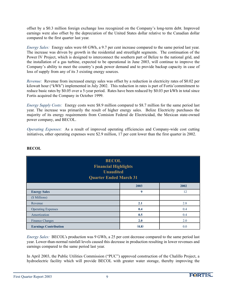offset by a \$0.3 million foreign exchange loss recognized on the Company's long-term debt. Improved earnings were also offset by the depreciation of the United States dollar relative to the Canadian dollar compared to the first quarter last year.

*Energy Sales:* Energy sales were 68 GWh, a 9.7 per cent increase compared to the same period last year. The increase was driven by growth in the residential and streetlight segments. The continuation of the Power IV Project, which is designed to interconnect the southern part of Belize to the national grid, and the installation of a gas turbine, expected to be operational in June 2003, will continue to improve the Company's ability to meet the country's peak power demand and to provide backup capacity in case of loss of supply from any of its 3 existing energy sources.

*Revenue:* Revenue from increased energy sales was offset by a reduction in electricity rates of \$0.02 per kilowatt hour ("kWh") implemented in July 2002. This reduction in rates is part of Fortis'commitment to reduce basic rates by \$0.05 over a 5-year period. Rates have been reduced by \$0.03 per kWh in total since Fortis acquired the Company in October 1999.

*Energy Supply Costs:* Energy costs were \$8.9 million compared to \$8.7 million for the same period last year. The increase was primarily the result of higher energy sales. Belize Electricity purchases the majority of its energy requirements from Comision Federal de Electricidad, the Mexican state-owned power company, and BECOL.

*Operating Expenses*: As a result of improved operating efficiencies and Company-wide cost cutting initiatives, other operating expenses were \$2.9 million, 17 per cent lower than the first quarter in 2002.

| <b>BECOL</b><br><b>Financial Highlights</b><br><b>Unaudited</b><br><b>Quarter Ended March 31</b> |                  |      |  |
|--------------------------------------------------------------------------------------------------|------------------|------|--|
|                                                                                                  | 2003             | 2002 |  |
| <b>Energy Sales</b>                                                                              | $\boldsymbol{9}$ | 12   |  |
| (\$ Millions)                                                                                    |                  |      |  |
| Revenue                                                                                          | 2.1              | 2.8  |  |
| <b>Operating Expenses</b>                                                                        | 0.4              | 0.4  |  |
| Amortization                                                                                     | 0.5              | 0.4  |  |
| <b>Finance Charges</b>                                                                           | 2.0              | 2.0  |  |
| <b>Earnings Contribution</b>                                                                     | (0.8)            | 0.0  |  |

### **BECOL**

*Energy Sales:* BECOL's production was 9 GWh, a 25 per cent decrease compared to the same period last year. Lower-than-normal rainfall levels caused this decrease in production resulting in lower revenues and earnings compared to the same period last year.

In April 2003, the Public Utilities Commission ("PUC") approved construction of the Chalillo Project, a hydroelectric facility which will provide BECOL with greater water storage, thereby improving the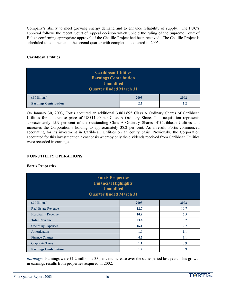Company's ability to meet growing energy demand and to enhance reliability of supply. The PUC's approval follows the recent Court of Appeal decision which upheld the ruling of the Supreme Court of Belize confirming appropriate approval of the Chalillo Project had been received. The Chalillo Project is scheduled to commence in the second quarter with completion expected in 2005.

#### **Caribbean Utilities**

| <b>Caribbean Utilities</b><br><b>Earnings Contribution</b><br><b>Unaudited</b><br><b>Quarter Ended March 31</b> |  |  |  |
|-----------------------------------------------------------------------------------------------------------------|--|--|--|
| (\$ Millions)<br>2003<br>2002                                                                                   |  |  |  |
| <b>Earnings Contribution</b><br>2.3<br>1.2                                                                      |  |  |  |

On January 30, 2003, Fortis acquired an additional 3,863,695 Class A Ordinary Shares of Caribbean Utilities for a purchase price of US\$11.90 per Class A Ordinary Share. This acquisition represents approximately 15.9 per cent of the outstanding Class A Ordinary Shares of Caribbean Utilities and increases the Corporation's holding to approximately 38.2 per cent. As a result, Fortis commenced accounting for its investment in Caribbean Utilities on an equity basis. Previously, the Corporation accounted for this investment on a cost basis whereby only the dividends received from Caribbean Utilities were recorded in earnings.

#### **NON-UTILITY OPERATIONS**

#### **Fortis Properties**

| <b>Fortis Properties</b><br><b>Financial Highlights</b><br><b>Unaudited</b><br><b>Quarter Ended March 31</b> |         |      |  |
|--------------------------------------------------------------------------------------------------------------|---------|------|--|
| (\$ Millions)                                                                                                | 2003    | 2002 |  |
| <b>Real Estate Revenue</b>                                                                                   | 12.7    | 10.7 |  |
| <b>Hospitality Revenue</b>                                                                                   | 10.9    | 7.5  |  |
| <b>Total Revenue</b>                                                                                         | 23.6    | 18.2 |  |
| <b>Operating Expenses</b>                                                                                    | 16.1    | 12.2 |  |
| Amortization                                                                                                 | 1.0     | 1.1  |  |
| <b>Finance Charges</b>                                                                                       | 4.2     | 3.1  |  |
| <b>Corporate Taxes</b>                                                                                       | 1.1     | 0.9  |  |
| <b>Earnings Contribution</b>                                                                                 | $1.2\,$ | 0.9  |  |

*Earnings:* Earnings were \$1.2 million, a 33 per cent increase over the same period last year. This growth in earnings results from properties acquired in 2002.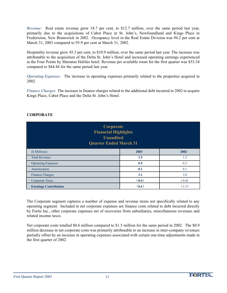*Revenue:* Real estate revenue grew 18.7 per cent, to \$12.7 million, over the same period last year, primarily due to the acquisitions of Cabot Place in St. John's, Newfoundland and Kings Place in Fredericton, New Brunswick in 2002. Occupancy level in the Real Estate Division was 94.2 per cent at March 31, 2003 compared to 93.9 per cent at March 31, 2002.

Hospitality revenue grew 45.3 per cent, to \$10.9 million, over the same period last year. The increase was attributable to the acquisition of the Delta St. John's Hotel and increased operating earnings experienced at the Four Points by Sheraton Halifax hotel. Revenue per available room for the first quarter was \$53.34 compared to \$44.44 for the same period last year.

*Operating Expenses:* The increase in operating expenses primarily related to the properties acquired in 2002.

*Finance Charges*: The increase in finance charges related to the additional debt incurred in 2002 to acquire Kings Place, Cabot Place and the Delta St. John's Hotel.

| <b>Corporate</b><br><b>Financial Highlights</b><br><b>Unaudited</b><br><b>Quarter Ended March 31</b> |       |       |  |
|------------------------------------------------------------------------------------------------------|-------|-------|--|
| (\$ Millions)                                                                                        | 2003  | 2002  |  |
| <b>Total Revenue</b>                                                                                 | 2.9   | 1.5   |  |
| <b>Operating Expenses</b>                                                                            | 0.9   | 0.3   |  |
| Amortization                                                                                         | 0.1   | 0.1   |  |
| <b>Finance Charges</b>                                                                               | 3.1   | 3.0   |  |
| (0.6)<br>(0.4)<br>Corporate Taxes                                                                    |       |       |  |
| <b>Earnings Contribution</b>                                                                         | (0.6) | (1.5) |  |

## **CORPORATE**

The Corporate segment captures a number of expense and revenue items not specifically related to any operating segment. Included in net corporate expenses are finance costs related to debt incurred directly by Fortis Inc., other corporate expenses net of recoveries from subsidiaries, miscellaneous revenues and related income taxes.

Net corporate costs totalled \$0.6 million compared to \$1.5 million for the same period in 2002. The \$0.9 million decrease in net corporate costs was primarily attributable to an increase in inter-company revenues partially offset by an increase in operating expenses associated with certain one-time adjustments made in the first quarter of 2002.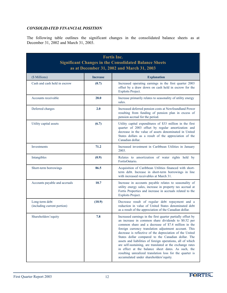### *CONSOLIDATED FINANCIAL POSITION*

The following table outlines the significant changes in the consolidated balance sheets as at December 31, 2002 and March 31, 2003.

| <b>Fortis Inc.</b><br><b>Significant Changes in the Consolidated Balance Sheets</b><br>as at December 31, 2002 and March 31, 2003 |                 |                                                                                                                                                                                                                                                                                                                                                                                                                                                                                                                                                                                                                                             |  |
|-----------------------------------------------------------------------------------------------------------------------------------|-----------------|---------------------------------------------------------------------------------------------------------------------------------------------------------------------------------------------------------------------------------------------------------------------------------------------------------------------------------------------------------------------------------------------------------------------------------------------------------------------------------------------------------------------------------------------------------------------------------------------------------------------------------------------|--|
| (\$ Millions)                                                                                                                     | <b>Increase</b> | <b>Explanation</b>                                                                                                                                                                                                                                                                                                                                                                                                                                                                                                                                                                                                                          |  |
| Cash and cash held in escrow                                                                                                      | (0.7)           | Increased operating earnings in the first quarter 2003<br>offset by a draw down on cash held in escrow for the<br><b>Exploits Project.</b>                                                                                                                                                                                                                                                                                                                                                                                                                                                                                                  |  |
| Accounts receivable                                                                                                               | 28.0            | Increase primarily relates to seasonality of utility energy<br>sales.                                                                                                                                                                                                                                                                                                                                                                                                                                                                                                                                                                       |  |
| Deferred charges                                                                                                                  | 2.0             | Increased deferred pension costs at Newfoundland Power<br>resulting from funding of pension plan in excess of<br>pension accrual for the period.                                                                                                                                                                                                                                                                                                                                                                                                                                                                                            |  |
| Utility capital assets                                                                                                            | (6.7)           | Utility capital expenditures of \$33 million in the first<br>quarter of 2003 offset by regular amortization and<br>decrease in the value of assets denominated in United<br>States dollars as a result of the appreciation of the<br>Canadian dollar.                                                                                                                                                                                                                                                                                                                                                                                       |  |
| Investments                                                                                                                       | 71.2            | Increased investment in Caribbean Utilities in January<br>2003.                                                                                                                                                                                                                                                                                                                                                                                                                                                                                                                                                                             |  |
| Intangibles                                                                                                                       | (0.9)           | Relates to amortization of water rights held by<br>FortisOntario.                                                                                                                                                                                                                                                                                                                                                                                                                                                                                                                                                                           |  |
| Short-term borrowings                                                                                                             | 86.5            | Acquisition of Caribbean Utilities financed with short-<br>term debt. Increase in short-term borrowings in line<br>with increased receivables at March 31.                                                                                                                                                                                                                                                                                                                                                                                                                                                                                  |  |
| Accounts payable and accruals                                                                                                     | 10.7            | Increase in accounts payable relates to seasonality of<br>utility energy sales, increase in property tax accrual at<br>Fortis Properties and increase in accruals related to the<br>Exploits Project.                                                                                                                                                                                                                                                                                                                                                                                                                                       |  |
| Long-term debt<br>(including current portion)                                                                                     | (10.9)          | Decrease result of regular debt repayment and a<br>reduction in value of United States denominated debt<br>as a result of the appreciation of the Canadian dollar.                                                                                                                                                                                                                                                                                                                                                                                                                                                                          |  |
| Shareholders' equity                                                                                                              | 7.8             | Increased earnings in the first quarter partially offset by<br>an increase in common share dividends to \$0.52 per<br>common share and a decrease of \$7.4 million in the<br>foreign currency translation adjustment account. This<br>decrease is reflective of the depreciation of the United<br>States dollar compared to the Canadian dollar. The<br>assets and liabilities of foreign operations, all of which<br>are self-sustaining, are translated at the exchange rates<br>in effect at the balance sheet dates. As such, the<br>resulting unrealized translation loss for the quarter is<br>accumulated under shareholders'equity. |  |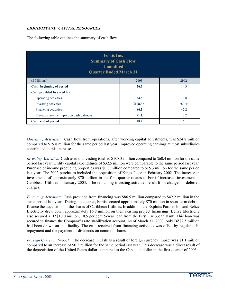# *LIQUIDITYAND CAPITAL RESOURCES*

The following table outlines the summary of cash flow.

| <b>Fortis Inc.</b><br><b>Summary of Cash Flow</b><br><b>Unaudited</b><br><b>Quarter Ended March 31</b> |         |        |  |
|--------------------------------------------------------------------------------------------------------|---------|--------|--|
| (\$ Millions)                                                                                          | 2003    | 2002   |  |
| Cash, beginning of period                                                                              | 26.3    | 14.3   |  |
| Cash provided by (used in)                                                                             |         |        |  |
| Operating activities                                                                                   | 24.8    | 19.8   |  |
| Investing activities                                                                                   | (108.3) | (60.4) |  |
| Financing activities                                                                                   | 86.5    | 42.2   |  |
| Foreign currency impact on cash balances<br>(1.1)<br>0.2                                               |         |        |  |
| Cash, end of period                                                                                    | 28.2    | 16.1   |  |

*Operating Activities:* Cash flow from operations, after working capital adjustments, was \$24.8 million compared to \$19.8 million for the same period last year. Improved operating earnings at most subsidiaries contributed to this increase.

*Investing Activities:* Cash used in investing totalled \$108.3 million compared to \$60.4 million for the same period last year. Utility capital expenditures of \$32.5 million were comparable to the same period last year. Purchase of income producing properties was \$0.8 million compared to \$15.3 million for the same period last year. The 2002 purchases included the acquisition of Kings Place in February 2002. The increase in investments of approximately \$70 million in the first quarter relates to Fortis' increased investment in Caribbean Utilities in January 2003. The remaining investing activities result from changes in deferred charges.

*Financing Activities:* Cash provided from financing was \$86.5 million compared to \$42.2 million in the same period last year. During the quarter, Fortis secured approximately \$70 million in short-term debt to finance the acquisition of the shares of Caribbean Utilities. In addition, the Exploits Partnership and Belize Electricity drew down approximately \$6.8 million on their existing project financings. Belize Electricity also secured a BZ\$10.0 million, 10.5 per cent 5-year loan from the First Caribbean Bank. This loan was secured to finance the Company's rate stabilization account. As of March 31, 2003, only BZ\$2.5 million had been drawn on this facility. The cash received from financing activities was offset by regular debt repayment and the payment of dividends on common shares.

*Foreign Currency Impact:* The decrease in cash as a result of foreign currency impact was \$1.1 million compared to an increase of \$0.2 million for the same period last year. This decrease was a direct result of the depreciation of the United States dollar compared to the Canadian dollar in the first quarter of 2003.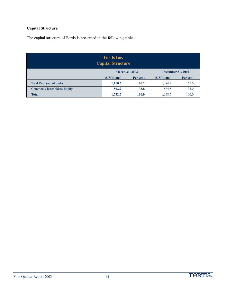# **Capital Structure**

The capital structure of Fortis is presented in the following table.

| <b>Fortis Inc.</b><br><b>Capital Structure</b> |                                                        |       |         |       |  |
|------------------------------------------------|--------------------------------------------------------|-------|---------|-------|--|
|                                                | <b>December 31, 2002</b><br><b>March 31, 2003</b>      |       |         |       |  |
|                                                | (\$ Millions)<br>(\$ Millions)<br>Per cent<br>Per cent |       |         |       |  |
| Total Debt (net of cash)                       | 1,160.5                                                | 66.2  | 1,084.2 | 65.0  |  |
| Common Shareholders' Equity                    | 592.2                                                  | 33.8  | 584.5   | 35.0  |  |
| <b>Total</b>                                   | 1,752.7                                                | 100.0 | 1,668.7 | 100.0 |  |

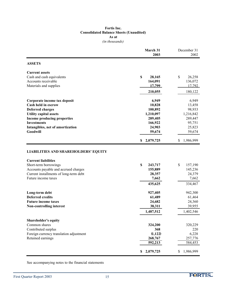#### **Fortis Inc. Consolidated Balance Sheets (Unaudited) As at** *(in thousands)*

|                                                                                                                                                              | March 31<br>2003                            | December 31<br>2002                         |
|--------------------------------------------------------------------------------------------------------------------------------------------------------------|---------------------------------------------|---------------------------------------------|
| <b>ASSETS</b>                                                                                                                                                |                                             |                                             |
| <b>Current assets</b>                                                                                                                                        |                                             |                                             |
| Cash and cash equivalents                                                                                                                                    | \$<br>28,165                                | \$<br>26,258                                |
| Accounts receivable                                                                                                                                          | 164,091                                     | 136,072                                     |
| Materials and supplies                                                                                                                                       | 17,799                                      | 17,792                                      |
|                                                                                                                                                              | 210,055                                     | 180,122                                     |
| Corporate income tax deposit                                                                                                                                 | 6,949                                       | 6,949                                       |
| Cash held in escrow                                                                                                                                          | 10,828                                      | 13,458                                      |
| <b>Deferred charges</b>                                                                                                                                      | 100,892                                     | 98,933                                      |
| <b>Utility capital assets</b>                                                                                                                                | 1,210,097                                   | 1,216,842                                   |
| <b>Income producing properties</b>                                                                                                                           | 289,405                                     | 289,447                                     |
| <b>Investments</b>                                                                                                                                           | 166,922                                     | 95,751                                      |
| Intangibles, net of amortization                                                                                                                             | 24,903                                      | 25,823                                      |
| Goodwill                                                                                                                                                     | 59,674                                      | 59,674                                      |
|                                                                                                                                                              | 2,079,725<br>\$                             | 1,986,999<br>S                              |
| <b>Current liabilities</b><br>Short-term borrowings<br>Accounts payable and accrued charges<br>Current installments of long-term debt<br>Future income taxes | \$<br>243,717<br>155,889<br>28,357<br>7,662 | \$<br>157,190<br>145,236<br>24,379<br>7,662 |
|                                                                                                                                                              | 435,625                                     | 334,467                                     |
| Long-term debt                                                                                                                                               | 927,405                                     | 942,300                                     |
| <b>Deferred credits</b>                                                                                                                                      | 61,489                                      | 61,464                                      |
| <b>Future income taxes</b>                                                                                                                                   | 24,682                                      | 24,360                                      |
| <b>Non-controlling interest</b>                                                                                                                              | 38,311                                      | 39,955                                      |
|                                                                                                                                                              | 1,487,512                                   | 1,402,546                                   |
| <b>Shareholder's equity</b>                                                                                                                                  |                                             |                                             |
| Common shares                                                                                                                                                | 324,200                                     | 320,229                                     |
| Contributed surplus                                                                                                                                          | 368                                         | 220                                         |
| Foreign currency translation adjustment                                                                                                                      | (1, 122)                                    | 6,228                                       |
| Retained earnings                                                                                                                                            | 268,767                                     | 257,776                                     |
|                                                                                                                                                              | 592,213                                     | 584,453                                     |
|                                                                                                                                                              | 2,079,725<br>\$                             | 1,986,999<br>\$                             |

See accompanying notes to the financial statements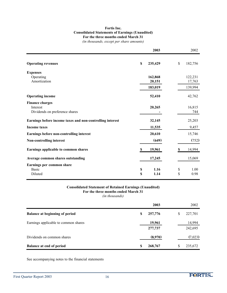#### **Fortis Inc. Consolidated Statements of Earnings (Unaudited) For the three months ended March 31**

*(in thousands, except per share amounts)*

|                                                           | 2003                   | 2002          |
|-----------------------------------------------------------|------------------------|---------------|
| <b>Operating revenues</b>                                 | $\mathbb S$<br>235,429 | \$<br>182,756 |
| <b>Expenses</b>                                           |                        |               |
| Operating                                                 | 162,868                | 122,231       |
| Amortization                                              | 20,151                 | 17,763        |
|                                                           | 183,019                | 139,994       |
| <b>Operating income</b>                                   | 52,410                 | 42,762        |
| <b>Finance charges</b>                                    |                        |               |
| Interest                                                  | 20,265                 | 16,815        |
| Dividends on preference shares                            |                        | 744           |
| Earnings before income taxes and non-controlling interest | 32,145                 | 25,203        |
| <b>Income taxes</b>                                       | 11,535                 | 9,457         |
| Earnings before non-controlling interest                  | 20,610                 | 15,746        |
| Non-controlling interest                                  | (649)                  | (752)         |
| Earnings applicable to common shares                      | 19,961<br>\$           | 14,994<br>\$  |
| Average common shares outstanding                         | 17,245                 | 15,069        |
| Earnings per common share                                 |                        |               |
| <b>Basic</b>                                              | 1.16<br>\$             | \$<br>1.00    |
| Diluted                                                   | \$<br>1.14             | \$<br>0.98    |

### **Consolidated Statement of Retained Earnings (Unaudited) For the three months ended March 31**

*(in thousands)*

|                                       | 2003              | 2002              |
|---------------------------------------|-------------------|-------------------|
| <b>Balance at beginning of period</b> | 257,776<br>S      | \$<br>227,701     |
| Earnings applicable to common shares  | 19,961<br>277,737 | 14,994<br>242,695 |
| Dividends on common shares            | (8,970)           | (7,023)           |
| <b>Balance at end of period</b>       | 268,767<br>S      | \$<br>235,672     |

See accompanying notes to the financial statements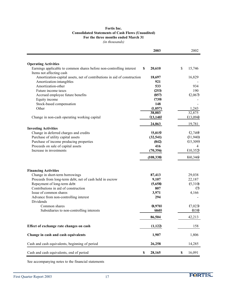#### **Fortis Inc. Consolidated Statements of Cash Flows (Unaudited) For the three months ended March 31**

*(in thousands)*

|                                                                          | 2003         | 2002         |
|--------------------------------------------------------------------------|--------------|--------------|
|                                                                          |              |              |
| <b>Operating Activities</b>                                              |              |              |
| Earnings applicable to common shares before non-controlling interest     | \$<br>20,610 | \$<br>15,746 |
| Items not affecting cash                                                 |              |              |
| Amortization-capital assets, net of contributions in aid of construction | 18,697       | 16,829       |
| Amortization-intangibles                                                 | 921          |              |
| Amortization-other                                                       | 533          | 934          |
| Future income taxes                                                      | (253)        | 190          |
| Accrued employee future benefits                                         | (857)        | (2,067)      |
| Equity income                                                            | (739)        |              |
| Stock-based compensation                                                 | 148          |              |
| Other                                                                    | (1,057)      | 1,243        |
|                                                                          | 38,003       | 32,875       |
| Change in non-cash operating working capital                             | (13, 140)    | (13,094)     |
|                                                                          | 24,863       | 19,781       |
| <b>Investing Activities</b>                                              |              |              |
| Change in deferred charges and credits                                   | (5,015)      | (2,749)      |
| Purchase of utility capital assets                                       | (32, 541)    | (31,940)     |
| Purchase of income producing properties                                  | (842)        | (15,309)     |
| Proceeds on sale of capital assets                                       | 416          | 4            |
| Increase in investments                                                  | (70, 356)    | (10, 352)    |
|                                                                          | (108, 338)   | (60, 346)    |
|                                                                          |              |              |
| <b>Financing Activities</b>                                              |              |              |
| Change in short-term borrowings                                          | 87,413       | 29,038       |
| Proceeds from long-term debt, net of cash held in escrow                 | 9,107        | 22,187       |
| Repayment of long-term debt                                              | (5,658)      | (5,310)      |
| Contributions in aid of construction                                     | 807          | (7)          |
| Issue of common shares                                                   | 3,971        | 4,166        |
| Advance from non-controlling interest<br>Dividends                       | 294          |              |
| Common shares                                                            | (8,970)      | (7,023)      |
| Subsidiaries to non-controlling interests                                | (460)        | (838)        |
|                                                                          | 86,504       | 42,213       |
| Effect of exchange rate changes on cash                                  | (1,122)      | 158          |
| Change in cash and cash equivalents                                      | 1,907        | 1,806        |
|                                                                          |              |              |
| Cash and cash equivalents, beginning of period                           | 26,258       | 14,285       |
| Cash and cash equivalents, end of period                                 | \$<br>28,165 | \$<br>16,091 |

See accompanying notes to the financial statements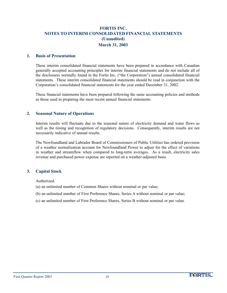#### **1. Basis of Presentation**

These interim consolidated financial statements have been prepared in accordance with Canadian generally accepted accounting principles for interim financial statements and do not include all of the disclosures normally found in the Fortis Inc. ("the Corporation") annual consolidated financial statements. These interim consolidated financial statements should be read in conjunction with the Corporation's consolidated financial statements for the year ended December 31, 2002.

These financial statements have been prepared following the same accounting policies and methods as those used in preparing the most recent annual financial statements.

#### **2. Seasonal Nature of Operations**

Interim results will fluctuate due to the seasonal nature of electricity demand and water flows as well as the timing and recognition of regulatory decisions. Consequently, interim results are not necessarily indicative of annual results.

The Newfoundland and Labrador Board of Commissioners of Public Utilities has ordered provision of a weather normalization account for Newfoundland Power to adjust for the effect of variations in weather and streamflow when compared to long-term averages. As a result, electricity sales revenue and purchased power expense are reported on a weather-adjusted basis.

#### **3. Capital Stock**

Authorized

- (a) an unlimited number of Common Shares without nominal or par value;
- (b) an unlimited number of First Preference Shares, Series A without nominal or par value;
- (c) an unlimited number of First Preference Shares, Series B without nominal or par value.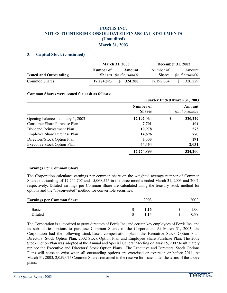#### **3. Capital Stock (continued)**

|                               |            | <b>March 31, 2003</b>               |               | <b>December 31, 2002</b> |
|-------------------------------|------------|-------------------------------------|---------------|--------------------------|
|                               | Number of  | Amount                              | Number of     | Amount                   |
| <b>Issued and Outstanding</b> |            | <b>Shares</b> (in thousands)        | <b>Shares</b> | <i>(in thousands)</i>    |
| <b>Common Shares</b>          | 17,274,893 | $\frac{\text{S}}{\text{S}}$ 324,200 | 17, 192, 064  | 320.229<br>-SS           |

#### **Common Shares were issued for cash as follows:**

|                                     | <b>Quarter Ended March 31, 2003</b> |   |                                 |
|-------------------------------------|-------------------------------------|---|---------------------------------|
|                                     | Number of<br><b>Shares</b>          |   | Amount<br><i>(in thousands)</i> |
| Opening balance $-$ January 1, 2003 | 17,192,064                          | S | 320,229                         |
| <b>Consumer Share Purchase Plan</b> | 7,701                               |   | 404                             |
| Dividend Reinvestment Plan          | 10,978                              |   | 575                             |
| Employee Share Purchase Plan        | 14,696                              |   | 770                             |
| Directors' Stock Option Plan        | 5,000                               |   | 191                             |
| <b>Executive Stock Option Plan</b>  | 44,454                              |   | 2,031                           |
|                                     | 17,274,893                          |   | 324,200                         |

#### **Earnings Per Common Share**

The Corporation calculates earnings per common share on the weighted average number of Common Shares outstanding of 17,244,707 and 15,068,575 in the three months ended March 31, 2003 and 2002, respectively. Diluted earnings per Common Share are calculated using the treasury stock method for options and the "if-converted" method for convertible securities.

| <b>Earnings per Common Share</b> | 2003 |  |      |
|----------------------------------|------|--|------|
| <b>Basic</b>                     | 1.16 |  | .00. |
| Diluted                          | 1.14 |  | 0.98 |

The Corporation is authorized to grant directors of Fortis Inc. and certain key employees of Fortis Inc. and its subsidiaries options to purchase Common Shares of the Corporation. At March 31, 2003, the Corporation had the following stock-based compensation plans: the Executive Stock Option Plan, Directors' Stock Option Plan, 2002 Stock Option Plan and Employee Share Purchase Plan. The 2002 Stock Option Plan was adopted at the Annual and Special General Meeting on May 15, 2002 to ultimately replace the Executive and Directors' Stock Option Plans. The Executive and Directors' Stock Options Plans will cease to exist when all outstanding options are exercised or expire in or before 2011. At March 31, 2003, 2,059,075 Common Shares remained in the reserve for issue under the terms of the above plans.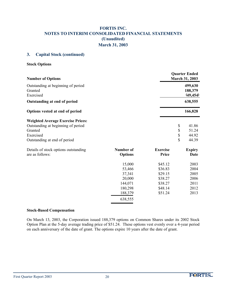#### **3. Capital Stock (continued)**

**Stock Options**

|                                                                       |                                                                           | 499,630<br>188,379<br>(49, 454)<br>638,555<br>166,828 |
|-----------------------------------------------------------------------|---------------------------------------------------------------------------|-------------------------------------------------------|
|                                                                       |                                                                           |                                                       |
|                                                                       |                                                                           |                                                       |
|                                                                       |                                                                           |                                                       |
|                                                                       | \$                                                                        | 41.86<br>51.24<br>44.92<br>44.39                      |
| <b>Options</b>                                                        | <b>Exercise</b><br>Price                                                  | <b>Expiry</b><br>Date                                 |
| 15,000<br>53,466<br>37,341<br>20,000<br>144,071<br>180,298<br>188,379 | \$45.12<br>\$36.83<br>\$29.15<br>\$38.27<br>\$38.27<br>\$48.14<br>\$51.24 | 2003<br>2004<br>2005<br>2006<br>2011<br>2012<br>2013  |
|                                                                       | <b>Number of</b><br>638,555                                               | $\frac{1}{2}$                                         |

#### **Stock-Based Compensation**

On March 13, 2003, the Corporation issued 188,379 options on Common Shares under its 2002 Stock Option Plan at the 5-day average trading price of \$51.24. These options vest evenly over a 4-year period on each anniversary of the date of grant. The options expire 10 years after the date of grant.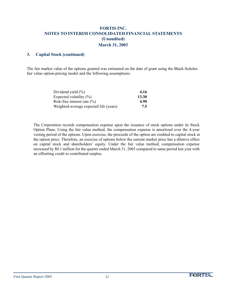#### **3. Capital Stock (continued)**

The fair market value of the options granted was estimated on the date of grant using the Black-Scholes fair value option-pricing model and the following assumptions:

| Dividend yield $(\% )$                 | 4.16  |
|----------------------------------------|-------|
| Expected volatility $(\%)$             | 13.30 |
| Risk-free interest rate $(\% )$        | 4.90  |
| Weighted-average expected life (years) | 7.5   |

The Corporation records compensation expense upon the issuance of stock options under its Stock Option Plans. Using the fair value method, the compensation expense is amortized over the 4-year vesting period of the options. Upon exercise, the proceeds of the option are credited to capital stock at the option price. Therefore, an exercise of options below the current market price has a dilutive effect on capital stock and shareholders' equity. Under the fair value method, compensation expense increased by \$0.1 million for the quarter ended March 31, 2003 compared to same period last year with an offsetting credit to contributed surplus.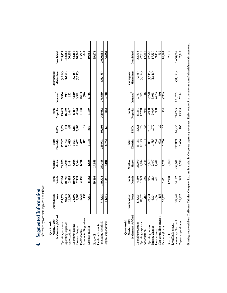| $5 - 2 + 2 = 2$<br>$\mathbf{I}$<br>Í |
|--------------------------------------|
|                                      |
| i<br>i<br>S                          |
| l                                    |
|                                      |

Information by reportable segment is as follows:

| Consolidated                                                 | 235,429<br>162,868<br>20,151                                   | 52,316<br>20,315<br>11,55<br>11,53  |                                          | 19,961          | 59,674                          | 2,020,051          | 33,383               |
|--------------------------------------------------------------|----------------------------------------------------------------|-------------------------------------|------------------------------------------|-----------------|---------------------------------|--------------------|----------------------|
| Eliminations<br>inter-segnent                                | $(4,814)$<br>$(1,569)$                                         | $(3,245)$<br>$(3,245)$              |                                          |                 |                                 | (35,453)           |                      |
| Corporate                                                    | 132<br>5,556<br>914                                            | 4,500<br>3,507)                     | $\circledS$                              | 1,716           |                                 | 271,639            | 7,748                |
| Properties<br>Fortis                                         | 1,047<br>23,603<br>16,139                                      | 6,417<br>4,140<br>1,108             |                                          | 1169            |                                 | 305,052            | 842                  |
| <b>BECOL</b>                                                 | 453<br>2,074<br>441                                            | 1,180<br>2,005                      |                                          | (839)           |                                 | 95,603             | 30                   |
| Belize<br>Electricity                                        | 2,013<br>17,297<br>11,763                                      | 3,521<br>1,662                      | $\overline{5}$<br>239                    | 1.108           |                                 | 219,971            | 5,782                |
| Electric<br>Maritime                                         | 24,975<br>16,923<br>2,444                                      | 5,608<br>2,364<br>1,406             |                                          | 1,838           | 19,858                          | 257,488            | 3,011                |
| Fortis<br><b>Intario</b>                                     | $42,160$<br>$28,785$<br>$2,455$                                | 0,920<br>2,333<br>3,435             |                                          | 5,152           | 39,816                          | 160,324            | 1,251                |
| oundland<br>Power<br>ĕ                                       | 124,578<br>89,472<br>11,607                                    | 23,499<br>7,505                     | 6,024<br>$\overline{13}$                 | 9.817           |                                 | 745,427            | 14,619               |
| (in thousands of dollars)<br>March 31, 2003<br>Quarter ended | Operating revenues<br><b>Perating expenses</b><br>Amortization | Operating income<br>Finance charges | Non-controlling interest<br>Income taxes | Earnings (Loss) | Identifiable assets<br>Goodwill | excluding Goodwill | Capital expenditures |

| Consolidated                                                 | $\begin{array}{c} 182,756 \\ 122,231 \\ 17,763 \end{array}$     | $42,762$<br>17,559<br>9,457<br>9,32                                                  | 32,838<br>14,994            | 47,249<br>1,650,069                                                |
|--------------------------------------------------------------|-----------------------------------------------------------------|--------------------------------------------------------------------------------------|-----------------------------|--------------------------------------------------------------------|
| Eliminations<br>Inter-segment                                | $(4,038)$<br>$(2,392)$                                          | 0.646)<br>C.646)                                                                     |                             | (31,393)                                                           |
| Corporate                                                    | 2,751<br>325<br>148                                             | 233<br>2365<br>26                                                                    | (275)                       | 123,705<br>7,144                                                   |
| Fortis<br>Properties                                         | $\begin{array}{c} 18,261 \\ 12,258 \\ 1,065 \end{array}$        | 4,938<br>3,066<br>938                                                                | $\mathfrak{B}4$             | 244,225<br>15,309                                                  |
| <b>BECOL</b>                                                 | 2,821<br>379<br>426                                             | $\mathbb{Z}$<br>2,016<br>1,972                                                       | $\overline{17}$             | 108,956<br>107                                                     |
| Electicity<br>Belize                                         | $\begin{array}{c} 18.158 \\ 12.173 \\ 2.124 \end{array}$        | $3,861$<br>$1,785$<br>$224$<br>602                                                   | 1.250                       | 217,859<br>3,626                                                   |
| Electric<br>Maritime                                         | 25,099<br>17,034<br>2,446                                       | 5,619<br>2,497<br>1,401                                                              | 19,858<br>1,721             | 3,740<br>252,601                                                   |
| Fortis<br>Ontario                                            | 4,280<br>1,929<br>386                                           | <u>ន្ទ</u> ី ដី នី                                                                   | 12,980<br>1,071             | 398<br>34,172                                                      |
| Power<br>evfoundland                                         | 115,424<br>80,525<br>11,168                                     | $23,731$<br>$6,634$<br>$6,668$<br>IS3                                                | 10.276                      | 16,925<br>699.944                                                  |
| (in thousands of dollars)<br>March 31, 2002<br>Quarter ended | <b>Operating revenues</b><br>Operating expenses<br>Amortization | Non-controlling interest<br><b>Perating</b> income<br>inance charges<br>Income taxes | Earnings (Loss)<br>Goodwill | excluding Goodwill<br>Capital expenditures<br>Identifiable assets, |

<sup>1</sup> Earnings received from Caribbean Utilities Company, Ltd. are included in Corporate operating revenues. Refer to note 5 to the interim consolidated financial statements.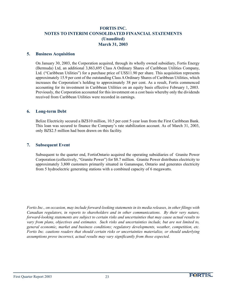#### **5. Business Acquisition**

On January 30, 2003, the Corporation acquired, through its wholly owned subsidiary, Fortis Energy (Bermuda) Ltd, an additional 3,863,695 Class A Ordinary Shares of Caribbean Utilities Company, Ltd. ("Caribbean Utilities") for a purchase price of US\$11.90 per share. This acquisition represents approximately 15.9 per cent of the outstanding Class A Ordinary Shares of Caribbean Utilities, which increases the Corporation's holding to approximately 38 per cent. As a result, Fortis commenced accounting for its investment in Caribbean Utilities on an equity basis effective February 1, 2003. Previously, the Corporation accounted for this investment on a cost basis whereby only the dividends received from Caribbean Utilities were recorded in earnings.

#### **6. Long-term Debt**

Belize Electricity secured a BZ\$10 million, 10.5 per cent 5-year loan from the First Caribbean Bank. This loan was secured to finance the Company's rate stabilization account. As of March 31, 2003, only BZ\$2.5 million had been drawn on this facility.

#### **7. Subsequent Event**

Subsequent to the quarter end, FortisOntario acquired the operating subsidiaries of Granite Power Corporation (collectively, "Granite Power") for \$8.7 million. Granite Power distributes electricity to approximately 3,800 customers primarily situated in Gananoque, Ontario and generates electricity from 5 hydroelectric generating stations with a combined capacity of 6 megawatts.

*Fortis Inc., on occasion, may include forward-looking statements in its media releases, in other filings with Canadian regulators, in reports to shareholders and in other communications. By their very nature, forward-looking statements are subject to certain risks and uncertainties that may cause actual results to vary from plans, objectives and estimates. Such risks and uncertainties include, but are not limited to, general economic, market and business conditions; regulatory developments, weather, competition, etc. Fortis Inc. cautions readers that should certain risks or uncertainties materialize, or should underlying assumptions prove incorrect, actual results may vary significantly from those expected.*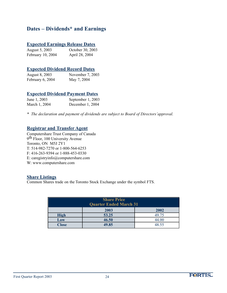# **Dates – Dividends\* and Earnings**

# **Expected Earnings Release Dates**

August 5, 2003 October 30, 2003 February 10, 2004 April 28, 2004

### **Expected Dividend Record Dates**

| August 8, 2003   | November 7, 2003 |
|------------------|------------------|
| February 6, 2004 | May 7, 2004      |

## **Expected Dividend Payment Dates**

| June 1, 2003  | September 1, 2003 |
|---------------|-------------------|
| March 1, 2004 | December 1, 2004  |

*\* The declaration and payment of dividends are subject to Board of Directors'approval.*

### **Registrar and Transfer Agent**

Computershare Trust Company of Canada 9th Floor, 100 University Avenue Toronto, ON M5J 2Y1 T: 514-982-7270 or 1-800-564-6253 F: 416-263-9394 or 1-888-453-0330 E: caregistryinfo@computershare.com W: www.computershare.com

#### **Share Listings**

Common Shares trade on the Toronto Stock Exchange under the symbol FTS.

| <b>Share Price</b><br><b>Quarter Ended March 31</b> |       |       |  |  |
|-----------------------------------------------------|-------|-------|--|--|
|                                                     | 2003  | 2002  |  |  |
| <b>High</b>                                         | 53.25 | 49.75 |  |  |
| Low                                                 | 46.50 | 44.00 |  |  |
| <b>Close</b>                                        | 49.85 | 48.55 |  |  |